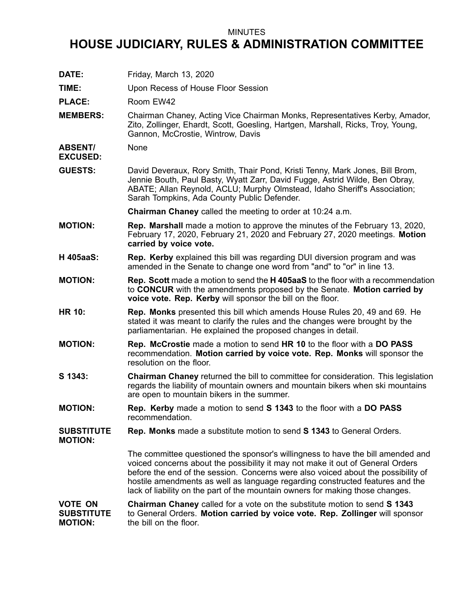## MINUTES

## **HOUSE JUDICIARY, RULES & ADMINISTRATION COMMITTEE**

**DATE:** Friday, March 13, 2020 **TIME:** Upon Recess of House Floor Session PLACE: Room EW42 **MEMBERS:** Chairman Chaney, Acting Vice Chairman Monks, Representatives Kerby, Amador, Zito, Zollinger, Ehardt, Scott, Goesling, Hartgen, Marshall, Ricks, Troy, Young, Gannon, McCrostie, Wintrow, Davis **ABSENT/ EXCUSED:** None **GUESTS:** David Deveraux, Rory Smith, Thair Pond, Kristi Tenny, Mark Jones, Bill Brom, Jennie Bouth, Paul Basty, Wyatt Zarr, David Fugge, Astrid Wilde, Ben Obray, ABATE; Allan Reynold, ACLU; Murphy Olmstead, Idaho Sheriff's Association; Sarah Tompkins, Ada County Public Defender. **Chairman Chaney** called the meeting to order at 10:24 a.m. **MOTION: Rep. Marshall** made <sup>a</sup> motion to approve the minutes of the February 13, 2020, February 17, 2020, February 21, 2020 and February 27, 2020 meetings. **Motion carried by voice vote. H 405aaS: Rep. Kerby** explained this bill was regarding DUI diversion program and was amended in the Senate to change one word from "and" to "or" in line 13. **MOTION: Rep. Scott** made <sup>a</sup> motion to send the **H 405aaS** to the floor with <sup>a</sup> recommendation to **CONCUR** with the amendments proposed by the Senate. **Motion carried by voice vote. Rep. Kerby** will sponsor the bill on the floor. **HR 10: Rep. Monks** presented this bill which amends House Rules 20, 49 and 69. He stated it was meant to clarify the rules and the changes were brought by the parliamentarian. He explained the proposed changes in detail. **MOTION: Rep. McCrostie** made <sup>a</sup> motion to send **HR 10** to the floor with <sup>a</sup> **DO PASS** recommendation. **Motion carried by voice vote. Rep. Monks** will sponsor the resolution on the floor. **S 1343: Chairman Chaney** returned the bill to committee for consideration. This legislation regards the liability of mountain owners and mountain bikers when ski mountains are open to mountain bikers in the summer. **MOTION: Rep. Kerby** made <sup>a</sup> motion to send **S 1343** to the floor with <sup>a</sup> **DO PASS** recommendation. **SUBSTITUTE MOTION: Rep. Monks** made <sup>a</sup> substitute motion to send **S 1343** to General Orders. The committee questioned the sponsor's willingness to have the bill amended and voiced concerns about the possibility it may not make it out of General Orders before the end of the session. Concerns were also voiced about the possibility of hostile amendments as well as language regarding constructed features and the lack of liability on the part of the mountain owners for making those changes. **VOTE ON SUBSTITUTE MOTION: Chairman Chaney** called for <sup>a</sup> vote on the substitute motion to send **S 1343** to General Orders. **Motion carried by voice vote. Rep. Zollinger** will sponsor the bill on the floor.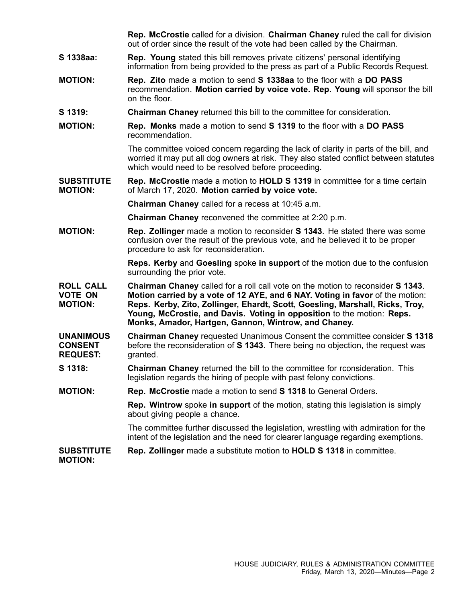|                                                       | Rep. McCrostie called for a division. Chairman Chaney ruled the call for division<br>out of order since the result of the vote had been called by the Chairman.                                                                                                                                                                                                                     |
|-------------------------------------------------------|-------------------------------------------------------------------------------------------------------------------------------------------------------------------------------------------------------------------------------------------------------------------------------------------------------------------------------------------------------------------------------------|
| S 1338aa:                                             | <b>Rep. Young</b> stated this bill removes private citizens' personal identifying<br>information from being provided to the press as part of a Public Records Request.                                                                                                                                                                                                              |
| <b>MOTION:</b>                                        | <b>Rep.</b> Zito made a motion to send <b>S</b> 1338aa to the floor with a DO PASS<br>recommendation. Motion carried by voice vote. Rep. Young will sponsor the bill<br>on the floor.                                                                                                                                                                                               |
| S 1319:                                               | <b>Chairman Chaney returned this bill to the committee for consideration.</b>                                                                                                                                                                                                                                                                                                       |
| <b>MOTION:</b>                                        | <b>Rep. Monks</b> made a motion to send <b>S</b> 1319 to the floor with a DO PASS<br>recommendation.                                                                                                                                                                                                                                                                                |
|                                                       | The committee voiced concern regarding the lack of clarity in parts of the bill, and<br>worried it may put all dog owners at risk. They also stated conflict between statutes<br>which would need to be resolved before proceeding.                                                                                                                                                 |
| <b>SUBSTITUTE</b><br><b>MOTION:</b>                   | Rep. McCrostie made a motion to HOLD S 1319 in committee for a time certain<br>of March 17, 2020. Motion carried by voice vote.                                                                                                                                                                                                                                                     |
|                                                       | <b>Chairman Chaney called for a recess at 10:45 a.m.</b>                                                                                                                                                                                                                                                                                                                            |
|                                                       | <b>Chairman Chaney</b> reconvened the committee at 2:20 p.m.                                                                                                                                                                                                                                                                                                                        |
| <b>MOTION:</b>                                        | <b>Rep. Zollinger</b> made a motion to reconsider <b>S 1343</b> . He stated there was some<br>confusion over the result of the previous vote, and he believed it to be proper<br>procedure to ask for reconsideration.                                                                                                                                                              |
|                                                       | Reps. Kerby and Goesling spoke in support of the motion due to the confusion<br>surrounding the prior vote.                                                                                                                                                                                                                                                                         |
| <b>ROLL CALL</b><br><b>VOTE ON</b><br><b>MOTION:</b>  | Chairman Chaney called for a roll call vote on the motion to reconsider S 1343.<br>Motion carried by a vote of 12 AYE, and 6 NAY. Voting in favor of the motion:<br>Reps. Kerby, Zito, Zollinger, Ehardt, Scott, Goesling, Marshall, Ricks, Troy,<br>Young, McCrostie, and Davis. Voting in opposition to the motion: Reps.<br>Monks, Amador, Hartgen, Gannon, Wintrow, and Chaney. |
| <b>UNANIMOUS</b><br><b>CONSENT</b><br><b>REQUEST:</b> | Chairman Chaney requested Unanimous Consent the committee consider S 1318<br>before the reconsideration of <b>S 1343</b> . There being no objection, the request was<br>granted.                                                                                                                                                                                                    |
| S 1318:                                               | Chairman Chaney returned the bill to the committee for rconsideration. This<br>legislation regards the hiring of people with past felony convictions.                                                                                                                                                                                                                               |
| <b>MOTION:</b>                                        | Rep. McCrostie made a motion to send S 1318 to General Orders.                                                                                                                                                                                                                                                                                                                      |
|                                                       | <b>Rep. Wintrow</b> spoke in support of the motion, stating this legislation is simply<br>about giving people a chance.                                                                                                                                                                                                                                                             |
|                                                       | The committee further discussed the legislation, wrestling with admiration for the<br>intent of the legislation and the need for clearer language regarding exemptions.                                                                                                                                                                                                             |
| <b>SUBSTITUTE</b><br><b>MOTION:</b>                   | Rep. Zollinger made a substitute motion to HOLD S 1318 in committee.                                                                                                                                                                                                                                                                                                                |